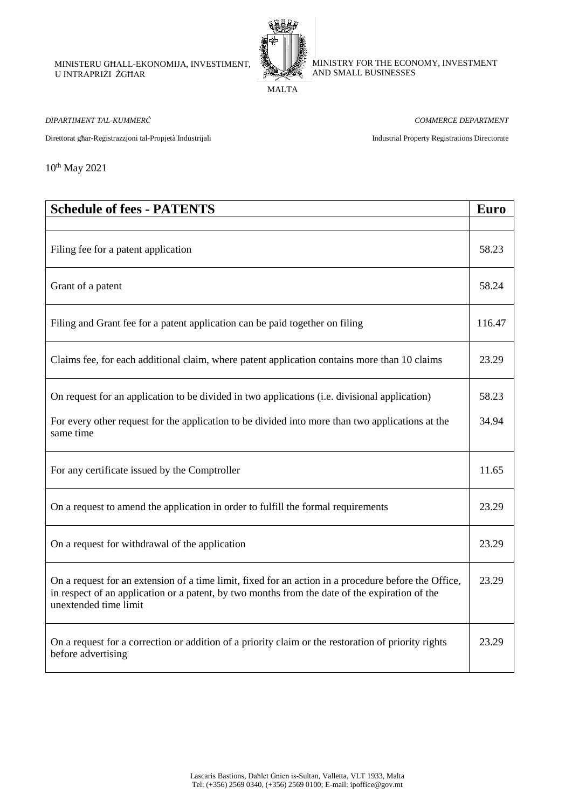MINISTERU GĦALL-EKONOMIJA, INVESTIMENT, U INTRAPRIŻI ŻGĦAR



MINISTRY FOR THE ECONOMY, INVESTMENT AND SMALL BUSINESSES

MALTA

*DIPARTIMENT TAL-KUMMERĊ COMMERCE DEPARTMENT*

Direttorat għar-Reġistrazzjoni tal-Propjetà Industrijali Industrial Property Registrations Directorate

10th May 2021

| <b>Schedule of fees - PATENTS</b>                                                                                                                                                                                               | Euro   |
|---------------------------------------------------------------------------------------------------------------------------------------------------------------------------------------------------------------------------------|--------|
|                                                                                                                                                                                                                                 |        |
| Filing fee for a patent application                                                                                                                                                                                             | 58.23  |
| Grant of a patent                                                                                                                                                                                                               | 58.24  |
| Filing and Grant fee for a patent application can be paid together on filing                                                                                                                                                    | 116.47 |
| Claims fee, for each additional claim, where patent application contains more than 10 claims                                                                                                                                    | 23.29  |
| On request for an application to be divided in two applications (i.e. divisional application)                                                                                                                                   | 58.23  |
| For every other request for the application to be divided into more than two applications at the<br>same time                                                                                                                   | 34.94  |
| For any certificate issued by the Comptroller                                                                                                                                                                                   | 11.65  |
| On a request to amend the application in order to fulfill the formal requirements                                                                                                                                               | 23.29  |
| On a request for withdrawal of the application                                                                                                                                                                                  | 23.29  |
| On a request for an extension of a time limit, fixed for an action in a procedure before the Office,<br>in respect of an application or a patent, by two months from the date of the expiration of the<br>unextended time limit | 23.29  |
| On a request for a correction or addition of a priority claim or the restoration of priority rights<br>before advertising                                                                                                       | 23.29  |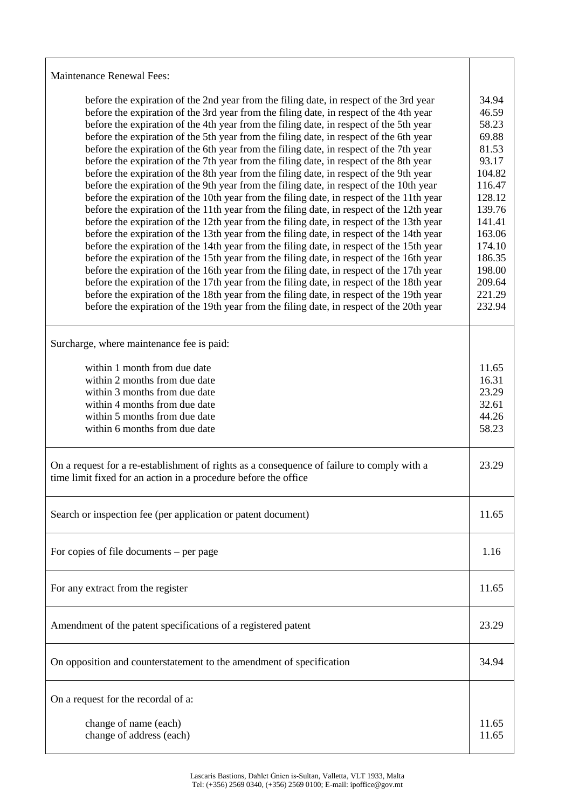| <b>Maintenance Renewal Fees:</b>                                                                                                                                                                                                                                                                                                                                                                                                                                                                                                                                                                                                                                                                                                                                                                                                                                                                                                                                                                                                                                                                                                                                                                                                                                                                                                                                                                                                                                                                                                                                                                                                                                                                      |                                                                                                                                                                            |
|-------------------------------------------------------------------------------------------------------------------------------------------------------------------------------------------------------------------------------------------------------------------------------------------------------------------------------------------------------------------------------------------------------------------------------------------------------------------------------------------------------------------------------------------------------------------------------------------------------------------------------------------------------------------------------------------------------------------------------------------------------------------------------------------------------------------------------------------------------------------------------------------------------------------------------------------------------------------------------------------------------------------------------------------------------------------------------------------------------------------------------------------------------------------------------------------------------------------------------------------------------------------------------------------------------------------------------------------------------------------------------------------------------------------------------------------------------------------------------------------------------------------------------------------------------------------------------------------------------------------------------------------------------------------------------------------------------|----------------------------------------------------------------------------------------------------------------------------------------------------------------------------|
| before the expiration of the 2nd year from the filing date, in respect of the 3rd year<br>before the expiration of the 3rd year from the filing date, in respect of the 4th year<br>before the expiration of the 4th year from the filing date, in respect of the 5th year<br>before the expiration of the 5th year from the filing date, in respect of the 6th year<br>before the expiration of the 6th year from the filing date, in respect of the 7th year<br>before the expiration of the 7th year from the filing date, in respect of the 8th year<br>before the expiration of the 8th year from the filing date, in respect of the 9th year<br>before the expiration of the 9th year from the filing date, in respect of the 10th year<br>before the expiration of the 10th year from the filing date, in respect of the 11th year<br>before the expiration of the 11th year from the filing date, in respect of the 12th year<br>before the expiration of the 12th year from the filing date, in respect of the 13th year<br>before the expiration of the 13th year from the filing date, in respect of the 14th year<br>before the expiration of the 14th year from the filing date, in respect of the 15th year<br>before the expiration of the 15th year from the filing date, in respect of the 16th year<br>before the expiration of the 16th year from the filing date, in respect of the 17th year<br>before the expiration of the 17th year from the filing date, in respect of the 18th year<br>before the expiration of the 18th year from the filing date, in respect of the 19th year<br>before the expiration of the 19th year from the filing date, in respect of the 20th year | 34.94<br>46.59<br>58.23<br>69.88<br>81.53<br>93.17<br>104.82<br>116.47<br>128.12<br>139.76<br>141.41<br>163.06<br>174.10<br>186.35<br>198.00<br>209.64<br>221.29<br>232.94 |
| Surcharge, where maintenance fee is paid:                                                                                                                                                                                                                                                                                                                                                                                                                                                                                                                                                                                                                                                                                                                                                                                                                                                                                                                                                                                                                                                                                                                                                                                                                                                                                                                                                                                                                                                                                                                                                                                                                                                             |                                                                                                                                                                            |
| within 1 month from due date<br>within 2 months from due date<br>within 3 months from due date<br>within 4 months from due date<br>within 5 months from due date<br>within 6 months from due date                                                                                                                                                                                                                                                                                                                                                                                                                                                                                                                                                                                                                                                                                                                                                                                                                                                                                                                                                                                                                                                                                                                                                                                                                                                                                                                                                                                                                                                                                                     | 11.65<br>16.31<br>23.29<br>32.61<br>44.26<br>58.23                                                                                                                         |
| On a request for a re-establishment of rights as a consequence of failure to comply with a<br>time limit fixed for an action in a procedure before the office                                                                                                                                                                                                                                                                                                                                                                                                                                                                                                                                                                                                                                                                                                                                                                                                                                                                                                                                                                                                                                                                                                                                                                                                                                                                                                                                                                                                                                                                                                                                         | 23.29                                                                                                                                                                      |
| Search or inspection fee (per application or patent document)                                                                                                                                                                                                                                                                                                                                                                                                                                                                                                                                                                                                                                                                                                                                                                                                                                                                                                                                                                                                                                                                                                                                                                                                                                                                                                                                                                                                                                                                                                                                                                                                                                         | 11.65                                                                                                                                                                      |
| For copies of file documents $-$ per page                                                                                                                                                                                                                                                                                                                                                                                                                                                                                                                                                                                                                                                                                                                                                                                                                                                                                                                                                                                                                                                                                                                                                                                                                                                                                                                                                                                                                                                                                                                                                                                                                                                             | 1.16                                                                                                                                                                       |
| For any extract from the register                                                                                                                                                                                                                                                                                                                                                                                                                                                                                                                                                                                                                                                                                                                                                                                                                                                                                                                                                                                                                                                                                                                                                                                                                                                                                                                                                                                                                                                                                                                                                                                                                                                                     | 11.65                                                                                                                                                                      |
| Amendment of the patent specifications of a registered patent                                                                                                                                                                                                                                                                                                                                                                                                                                                                                                                                                                                                                                                                                                                                                                                                                                                                                                                                                                                                                                                                                                                                                                                                                                                                                                                                                                                                                                                                                                                                                                                                                                         | 23.29                                                                                                                                                                      |
| On opposition and counterstatement to the amendment of specification                                                                                                                                                                                                                                                                                                                                                                                                                                                                                                                                                                                                                                                                                                                                                                                                                                                                                                                                                                                                                                                                                                                                                                                                                                                                                                                                                                                                                                                                                                                                                                                                                                  | 34.94                                                                                                                                                                      |
| On a request for the recordal of a:                                                                                                                                                                                                                                                                                                                                                                                                                                                                                                                                                                                                                                                                                                                                                                                                                                                                                                                                                                                                                                                                                                                                                                                                                                                                                                                                                                                                                                                                                                                                                                                                                                                                   |                                                                                                                                                                            |
| change of name (each)<br>change of address (each)                                                                                                                                                                                                                                                                                                                                                                                                                                                                                                                                                                                                                                                                                                                                                                                                                                                                                                                                                                                                                                                                                                                                                                                                                                                                                                                                                                                                                                                                                                                                                                                                                                                     | 11.65<br>11.65                                                                                                                                                             |